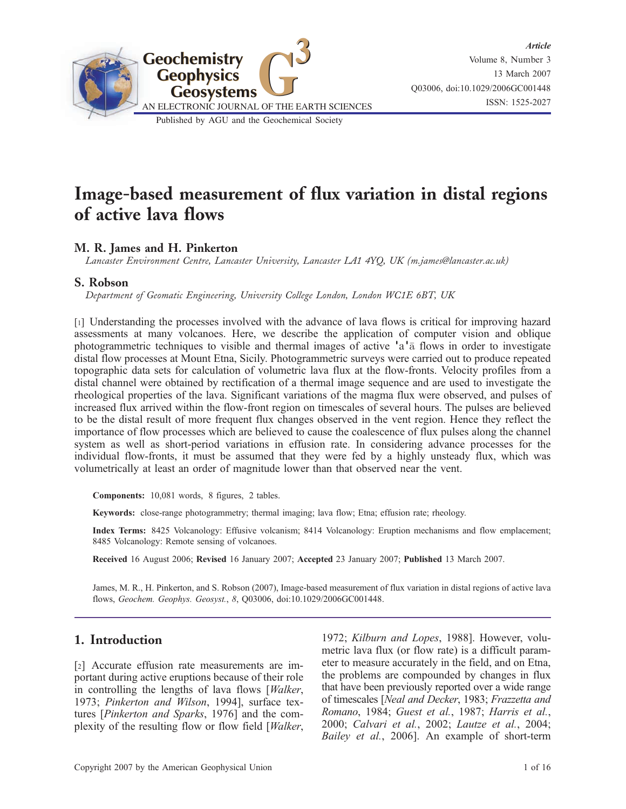

# Image-based measurement of flux variation in distal regions of active lava flows

# M. R. James and H. Pinkerton

Lancaster Environment Centre, Lancaster University, Lancaster LA1 4YQ, UK (m.james@lancaster.ac.uk)

### S. Robson

Department of Geomatic Engineering, University College London, London WC1E 6BT, UK

[1] Understanding the processes involved with the advance of lava flows is critical for improving hazard assessments at many volcanoes. Here, we describe the application of computer vision and oblique photogrammetric techniques to visible and thermal images of active  $a^{\dagger}$  a flows in order to investigate distal flow processes at Mount Etna, Sicily. Photogrammetric surveys were carried out to produce repeated topographic data sets for calculation of volumetric lava flux at the flow-fronts. Velocity profiles from a distal channel were obtained by rectification of a thermal image sequence and are used to investigate the rheological properties of the lava. Significant variations of the magma flux were observed, and pulses of increased flux arrived within the flow-front region on timescales of several hours. The pulses are believed to be the distal result of more frequent flux changes observed in the vent region. Hence they reflect the importance of flow processes which are believed to cause the coalescence of flux pulses along the channel system as well as short-period variations in effusion rate. In considering advance processes for the individual flow-fronts, it must be assumed that they were fed by a highly unsteady flux, which was volumetrically at least an order of magnitude lower than that observed near the vent.

Components: 10,081 words, 8 figures, 2 tables.

Keywords: close-range photogrammetry; thermal imaging; lava flow; Etna; effusion rate; rheology.

Index Terms: 8425 Volcanology: Effusive volcanism; 8414 Volcanology: Eruption mechanisms and flow emplacement; 8485 Volcanology: Remote sensing of volcanoes.

Received 16 August 2006; Revised 16 January 2007; Accepted 23 January 2007; Published 13 March 2007.

James, M. R., H. Pinkerton, and S. Robson (2007), Image-based measurement of flux variation in distal regions of active lava flows, Geochem. Geophys. Geosyst., 8, Q03006, doi:10.1029/2006GC001448.

# 1. Introduction

[2] Accurate effusion rate measurements are important during active eruptions because of their role in controlling the lengths of lava flows [Walker, 1973; Pinkerton and Wilson, 1994], surface textures [Pinkerton and Sparks, 1976] and the complexity of the resulting flow or flow field [Walker, 1972; Kilburn and Lopes, 1988]. However, volumetric lava flux (or flow rate) is a difficult parameter to measure accurately in the field, and on Etna, the problems are compounded by changes in flux that have been previously reported over a wide range of timescales [Neal and Decker, 1983; Frazzetta and Romano, 1984; Guest et al., 1987; Harris et al., 2000; Calvari et al., 2002; Lautze et al., 2004; Bailey et al., 2006]. An example of short-term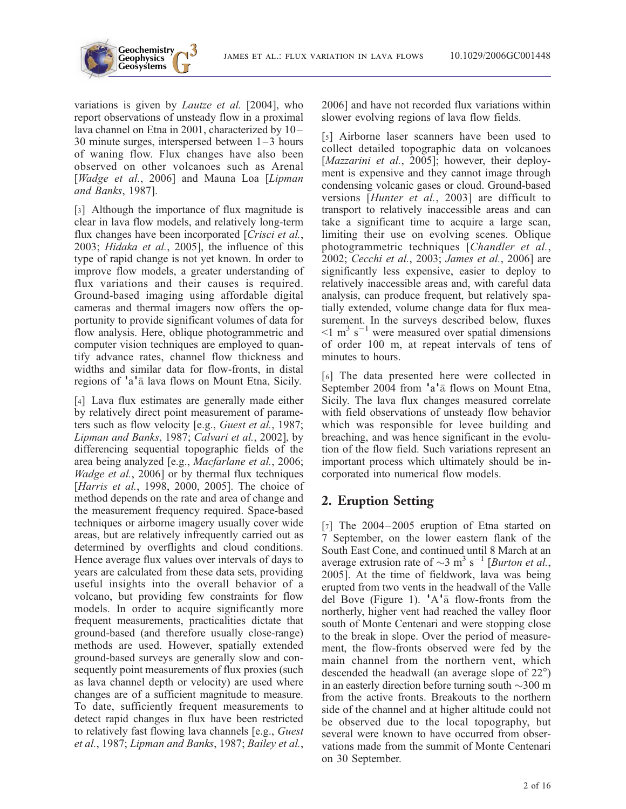

variations is given by Lautze et al. [2004], who report observations of unsteady flow in a proximal lava channel on Etna in 2001, characterized by 10– 30 minute surges, interspersed between 1–3 hours of waning flow. Flux changes have also been observed on other volcanoes such as Arenal [Wadge et al., 2006] and Mauna Loa [Lipman and Banks, 1987].

[3] Although the importance of flux magnitude is clear in lava flow models, and relatively long-term flux changes have been incorporated [Crisci et al., 2003; Hidaka et al., 2005], the influence of this type of rapid change is not yet known. In order to improve flow models, a greater understanding of flux variations and their causes is required. Ground-based imaging using affordable digital cameras and thermal imagers now offers the opportunity to provide significant volumes of data for flow analysis. Here, oblique photogrammetric and computer vision techniques are employed to quantify advance rates, channel flow thickness and widths and similar data for flow-fronts, in distal regions of 'a'a lava flows on Mount Etna, Sicily.

[4] Lava flux estimates are generally made either by relatively direct point measurement of parameters such as flow velocity [e.g., Guest et al., 1987; Lipman and Banks, 1987; Calvari et al., 2002], by differencing sequential topographic fields of the area being analyzed [e.g., Macfarlane et al., 2006; Wadge et al., 2006] or by thermal flux techniques [Harris et al., 1998, 2000, 2005]. The choice of method depends on the rate and area of change and the measurement frequency required. Space-based techniques or airborne imagery usually cover wide areas, but are relatively infrequently carried out as determined by overflights and cloud conditions. Hence average flux values over intervals of days to years are calculated from these data sets, providing useful insights into the overall behavior of a volcano, but providing few constraints for flow models. In order to acquire significantly more frequent measurements, practicalities dictate that ground-based (and therefore usually close-range) methods are used. However, spatially extended ground-based surveys are generally slow and consequently point measurements of flux proxies (such as lava channel depth or velocity) are used where changes are of a sufficient magnitude to measure. To date, sufficiently frequent measurements to detect rapid changes in flux have been restricted to relatively fast flowing lava channels [e.g., Guest et al., 1987; Lipman and Banks, 1987; Bailey et al.,

2006] and have not recorded flux variations within slower evolving regions of lava flow fields.

[5] Airborne laser scanners have been used to collect detailed topographic data on volcanoes [Mazzarini et al., 2005]; however, their deployment is expensive and they cannot image through condensing volcanic gases or cloud. Ground-based versions [Hunter et al., 2003] are difficult to transport to relatively inaccessible areas and can take a significant time to acquire a large scan, limiting their use on evolving scenes. Oblique photogrammetric techniques [Chandler et al., 2002; Cecchi et al., 2003; James et al., 2006] are significantly less expensive, easier to deploy to relatively inaccessible areas and, with careful data analysis, can produce frequent, but relatively spatially extended, volume change data for flux measurement. In the surveys described below, fluxes  $\leq$ 1 m<sup>3</sup> s<sup>-1</sup> were measured over spatial dimensions of order 100 m, at repeat intervals of tens of minutes to hours.

[6] The data presented here were collected in September 2004 from 'a'a flows on Mount Etna. Sicily. The lava flux changes measured correlate with field observations of unsteady flow behavior which was responsible for levee building and breaching, and was hence significant in the evolution of the flow field. Such variations represent an important process which ultimately should be incorporated into numerical flow models.

# 2. Eruption Setting

[7] The 2004–2005 eruption of Etna started on 7 September, on the lower eastern flank of the South East Cone, and continued until 8 March at an average extrusion rate of  $\sim$ 3 m<sup>3</sup> s<sup>-1</sup> [*Burton et al.*, 2005]. At the time of fieldwork, lava was being erupted from two vents in the headwall of the Valle del Bove (Figure 1). 'A'a flow-fronts from the northerly, higher vent had reached the valley floor south of Monte Centenari and were stopping close to the break in slope. Over the period of measurement, the flow-fronts observed were fed by the main channel from the northern vent, which descended the headwall (an average slope of  $22^{\circ}$ ) in an easterly direction before turning south  $\sim$ 300 m from the active fronts. Breakouts to the northern side of the channel and at higher altitude could not be observed due to the local topography, but several were known to have occurred from observations made from the summit of Monte Centenari on 30 September.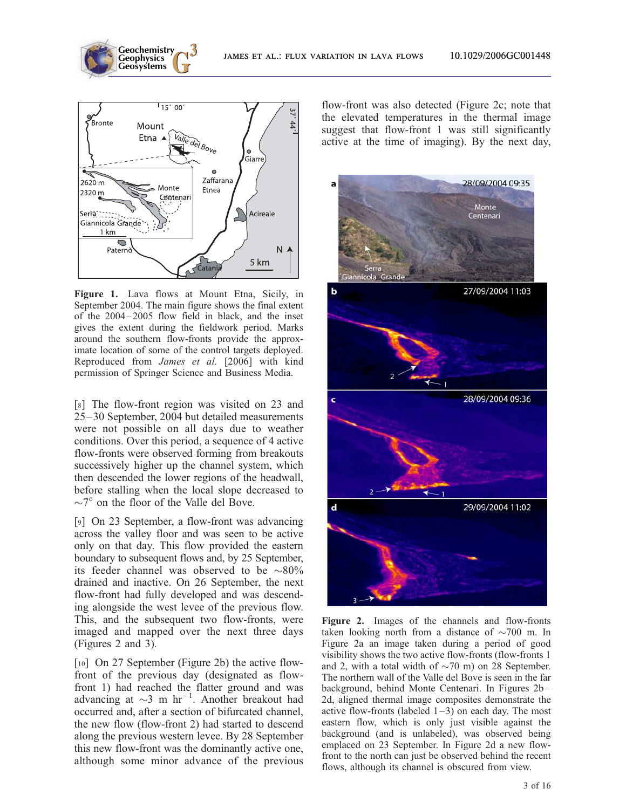



Figure 1. Lava flows at Mount Etna, Sicily, in September 2004. The main figure shows the final extent of the 2004 – 2005 flow field in black, and the inset gives the extent during the fieldwork period. Marks around the southern flow-fronts provide the approximate location of some of the control targets deployed. Reproduced from James et al. [2006] with kind permission of Springer Science and Business Media.

[8] The flow-front region was visited on 23 and 25–30 September, 2004 but detailed measurements were not possible on all days due to weather conditions. Over this period, a sequence of 4 active flow-fronts were observed forming from breakouts successively higher up the channel system, which then descended the lower regions of the headwall, before stalling when the local slope decreased to  $\sim$ 7 $\degree$  on the floor of the Valle del Bove.

[9] On 23 September, a flow-front was advancing across the valley floor and was seen to be active only on that day. This flow provided the eastern boundary to subsequent flows and, by 25 September, its feeder channel was observed to be  $\sim 80\%$ drained and inactive. On 26 September, the next flow-front had fully developed and was descending alongside the west levee of the previous flow. This, and the subsequent two flow-fronts, were imaged and mapped over the next three days (Figures 2 and 3).

[10] On 27 September (Figure 2b) the active flowfront of the previous day (designated as flowfront 1) had reached the flatter ground and was advancing at  $\sim$ 3 m hr<sup>-1</sup>. Another breakout had occurred and, after a section of bifurcated channel, the new flow (flow-front 2) had started to descend along the previous western levee. By 28 September this new flow-front was the dominantly active one, although some minor advance of the previous

flow-front was also detected (Figure 2c; note that the elevated temperatures in the thermal image suggest that flow-front 1 was still significantly active at the time of imaging). By the next day,



Figure 2. Images of the channels and flow-fronts taken looking north from a distance of  $\sim$ 700 m. In Figure 2a an image taken during a period of good visibility shows the two active flow-fronts (flow-fronts 1 and 2, with a total width of  $\sim$ 70 m) on 28 September. The northern wall of the Valle del Bove is seen in the far background, behind Monte Centenari. In Figures 2b– 2d, aligned thermal image composites demonstrate the active flow-fronts (labeled  $1-3$ ) on each day. The most eastern flow, which is only just visible against the background (and is unlabeled), was observed being emplaced on 23 September. In Figure 2d a new flowfront to the north can just be observed behind the recent flows, although its channel is obscured from view.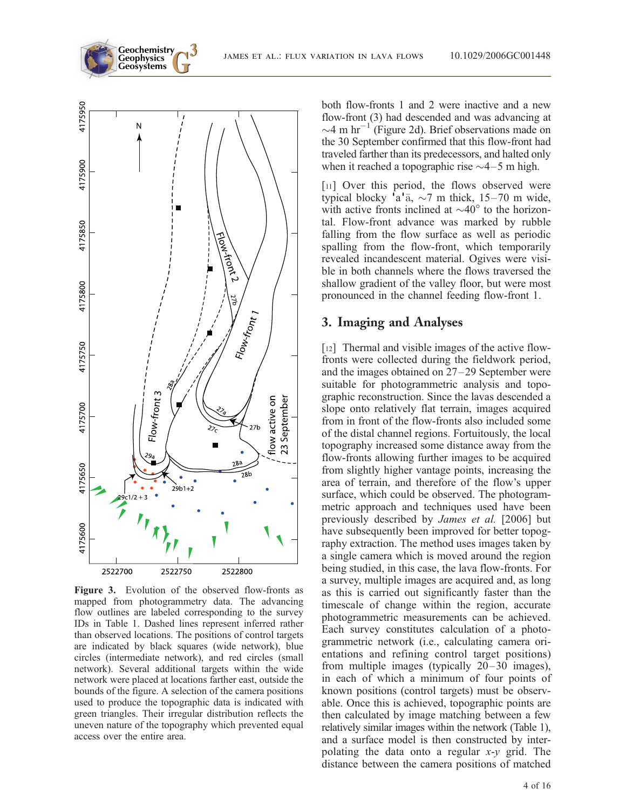



**Geochemistry Geophysics**

Figure 3. Evolution of the observed flow-fronts as mapped from photogrammetry data. The advancing flow outlines are labeled corresponding to the survey IDs in Table 1. Dashed lines represent inferred rather than observed locations. The positions of control targets are indicated by black squares (wide network), blue circles (intermediate network), and red circles (small network). Several additional targets within the wide network were placed at locations farther east, outside the bounds of the figure. A selection of the camera positions used to produce the topographic data is indicated with green triangles. Their irregular distribution reflects the uneven nature of the topography which prevented equal access over the entire area.

both flow-fronts 1 and 2 were inactive and a new flow-front (3) had descended and was advancing at  $\sim$ 4 m hr<sup>-1</sup> (Figure 2d). Brief observations made on the 30 September confirmed that this flow-front had traveled farther than its predecessors, and halted only when it reached a topographic rise  $\sim$ 4–5 m high.

[11] Over this period, the flows observed were typical blocky  $a^{\dagger}$ <sub>a</sub>,  $\sim$ 7 m thick, 15–70 m wide, with active fronts inclined at  $\sim 40^{\circ}$  to the horizontal. Flow-front advance was marked by rubble falling from the flow surface as well as periodic spalling from the flow-front, which temporarily revealed incandescent material. Ogives were visible in both channels where the flows traversed the shallow gradient of the valley floor, but were most pronounced in the channel feeding flow-front 1.

### 3. Imaging and Analyses

[12] Thermal and visible images of the active flowfronts were collected during the fieldwork period, and the images obtained on 27–29 September were suitable for photogrammetric analysis and topographic reconstruction. Since the lavas descended a slope onto relatively flat terrain, images acquired from in front of the flow-fronts also included some of the distal channel regions. Fortuitously, the local topography increased some distance away from the flow-fronts allowing further images to be acquired from slightly higher vantage points, increasing the area of terrain, and therefore of the flow's upper surface, which could be observed. The photogrammetric approach and techniques used have been previously described by James et al. [2006] but have subsequently been improved for better topography extraction. The method uses images taken by a single camera which is moved around the region being studied, in this case, the lava flow-fronts. For a survey, multiple images are acquired and, as long as this is carried out significantly faster than the timescale of change within the region, accurate photogrammetric measurements can be achieved. Each survey constitutes calculation of a photogrammetric network (i.e., calculating camera orientations and refining control target positions) from multiple images (typically 20–30 images), in each of which a minimum of four points of known positions (control targets) must be observable. Once this is achieved, topographic points are then calculated by image matching between a few relatively similar images within the network (Table 1), and a surface model is then constructed by interpolating the data onto a regular x-y grid. The distance between the camera positions of matched

4 of 16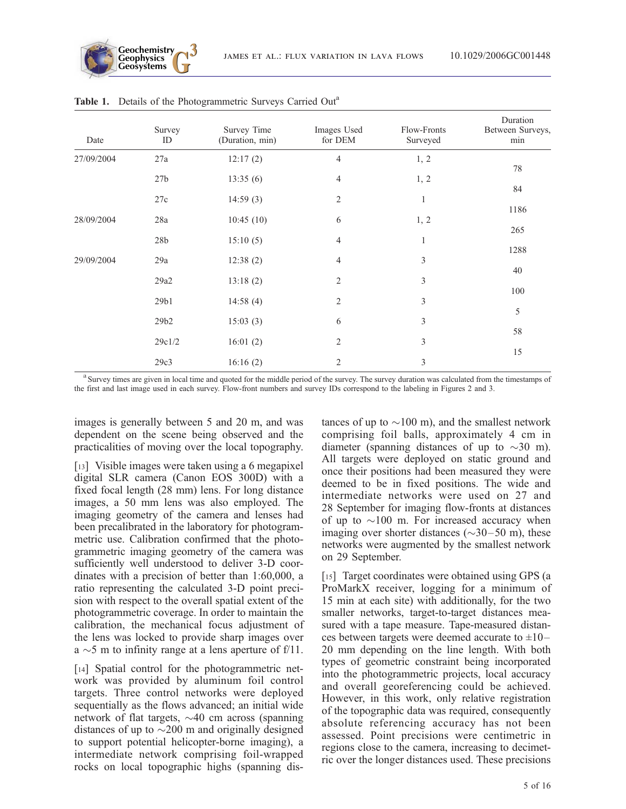| Date       | Survey<br>ID    | Survey Time<br>(Duration, min) | Images Used<br>for DEM | Flow-Fronts<br>Surveyed | Duration<br>Between Surveys,<br>min |
|------------|-----------------|--------------------------------|------------------------|-------------------------|-------------------------------------|
| 27/09/2004 | 27a             | 12:17(2)                       | 4                      | 1, 2                    |                                     |
|            | 27 <sub>b</sub> | 13:35(6)                       | 4                      | 1, 2                    | 78                                  |
|            |                 |                                |                        |                         | 84                                  |
|            | 27c             | 14:59(3)                       | $\overline{2}$         | $\mathbf{1}$            | 1186                                |
| 28/09/2004 | 28a             | 10:45(10)                      | 6                      | 1, 2                    |                                     |
|            | 28 <sub>b</sub> | 15:10(5)                       | $\overline{4}$         | $\mathbf{1}$            | 265                                 |
|            |                 |                                |                        |                         | 1288                                |
| 29/09/2004 | 29a             | 12:38(2)                       | $\overline{4}$         | $\mathfrak{Z}$          | 40                                  |
|            | 29a2            | 13:18(2)                       | $\overline{2}$         | $\mathfrak{Z}$          |                                     |
|            | 29b1            | 14:58(4)                       | $\overline{2}$         | $\mathfrak{Z}$          | 100                                 |
|            |                 |                                |                        |                         | 5                                   |
|            | 29b2            | 15:03(3)                       | 6                      | $\mathfrak{Z}$          |                                     |
|            | 29c1/2          | 16:01(2)                       | $\overline{2}$         | $\mathfrak{Z}$          | 58                                  |
|            |                 |                                |                        |                         | 15                                  |
|            | 29c3            | 16:16(2)                       | $\overline{2}$         | $\mathfrak{Z}$          |                                     |

Table 1. Details of the Photogrammetric Surveys Carried Out<sup>a</sup>

<sup>a</sup> Survey times are given in local time and quoted for the middle period of the survey. The survey duration was calculated from the timestamps of the first and last image used in each survey. Flow-front numbers and survey IDs correspond to the labeling in Figures 2 and 3.

images is generally between 5 and 20 m, and was dependent on the scene being observed and the practicalities of moving over the local topography.

[13] Visible images were taken using a 6 megapixel digital SLR camera (Canon EOS 300D) with a fixed focal length (28 mm) lens. For long distance images, a 50 mm lens was also employed. The imaging geometry of the camera and lenses had been precalibrated in the laboratory for photogrammetric use. Calibration confirmed that the photogrammetric imaging geometry of the camera was sufficiently well understood to deliver 3-D coordinates with a precision of better than 1:60,000, a ratio representing the calculated 3-D point precision with respect to the overall spatial extent of the photogrammetric coverage. In order to maintain the calibration, the mechanical focus adjustment of the lens was locked to provide sharp images over  $a \sim 5$  m to infinity range at a lens aperture of f/11.

[14] Spatial control for the photogrammetric network was provided by aluminum foil control targets. Three control networks were deployed sequentially as the flows advanced; an initial wide network of flat targets,  $\sim$ 40 cm across (spanning distances of up to  $\sim$  200 m and originally designed to support potential helicopter-borne imaging), a intermediate network comprising foil-wrapped rocks on local topographic highs (spanning dis-

tances of up to  $\sim$ 100 m), and the smallest network comprising foil balls, approximately 4 cm in diameter (spanning distances of up to  $\sim$ 30 m). All targets were deployed on static ground and once their positions had been measured they were deemed to be in fixed positions. The wide and intermediate networks were used on 27 and 28 September for imaging flow-fronts at distances of up to  $\sim$ 100 m. For increased accuracy when imaging over shorter distances ( $\sim$ 30–50 m), these networks were augmented by the smallest network on 29 September.

[15] Target coordinates were obtained using GPS (a ProMarkX receiver, logging for a minimum of 15 min at each site) with additionally, for the two smaller networks, target-to-target distances measured with a tape measure. Tape-measured distances between targets were deemed accurate to  $\pm 10-$ 20 mm depending on the line length. With both types of geometric constraint being incorporated into the photogrammetric projects, local accuracy and overall georeferencing could be achieved. However, in this work, only relative registration of the topographic data was required, consequently absolute referencing accuracy has not been assessed. Point precisions were centimetric in regions close to the camera, increasing to decimetric over the longer distances used. These precisions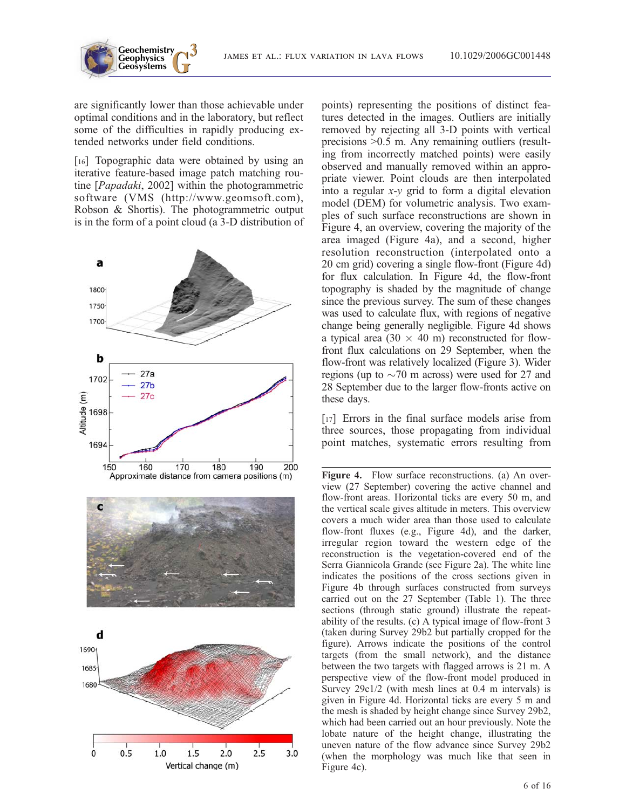

are significantly lower than those achievable under optimal conditions and in the laboratory, but reflect some of the difficulties in rapidly producing extended networks under field conditions.

[16] Topographic data were obtained by using an iterative feature-based image patch matching routine [Papadaki, 2002] within the photogrammetric software (VMS (http://www.geomsoft.com), Robson & Shortis). The photogrammetric output is in the form of a point cloud (a 3-D distribution of





d 1690 1685 1680  $0.5$ 1.0  $1.5$  $2.0$  $2.5$  $\Omega$  $3.0$ Vertical change (m)

points) representing the positions of distinct features detected in the images. Outliers are initially removed by rejecting all 3-D points with vertical precisions >0.5 m. Any remaining outliers (resulting from incorrectly matched points) were easily observed and manually removed within an appropriate viewer. Point clouds are then interpolated into a regular x-y grid to form a digital elevation model (DEM) for volumetric analysis. Two examples of such surface reconstructions are shown in Figure 4, an overview, covering the majority of the area imaged (Figure 4a), and a second, higher resolution reconstruction (interpolated onto a 20 cm grid) covering a single flow-front (Figure 4d) for flux calculation. In Figure 4d, the flow-front topography is shaded by the magnitude of change since the previous survey. The sum of these changes was used to calculate flux, with regions of negative change being generally negligible. Figure 4d shows a typical area (30  $\times$  40 m) reconstructed for flowfront flux calculations on 29 September, when the flow-front was relatively localized (Figure 3). Wider regions (up to  $\sim$  70 m across) were used for 27 and 28 September due to the larger flow-fronts active on these days.

[17] Errors in the final surface models arise from three sources, those propagating from individual point matches, systematic errors resulting from

Figure 4. Flow surface reconstructions. (a) An overview (27 September) covering the active channel and flow-front areas. Horizontal ticks are every 50 m, and the vertical scale gives altitude in meters. This overview covers a much wider area than those used to calculate flow-front fluxes (e.g., Figure 4d), and the darker, irregular region toward the western edge of the reconstruction is the vegetation-covered end of the Serra Giannicola Grande (see Figure 2a). The white line indicates the positions of the cross sections given in Figure 4b through surfaces constructed from surveys carried out on the 27 September (Table 1). The three sections (through static ground) illustrate the repeatability of the results. (c) A typical image of flow-front 3 (taken during Survey 29b2 but partially cropped for the figure). Arrows indicate the positions of the control targets (from the small network), and the distance between the two targets with flagged arrows is 21 m. A perspective view of the flow-front model produced in Survey 29c1/2 (with mesh lines at 0.4 m intervals) is given in Figure 4d. Horizontal ticks are every 5 m and the mesh is shaded by height change since Survey 29b2, which had been carried out an hour previously. Note the lobate nature of the height change, illustrating the uneven nature of the flow advance since Survey 29b2 (when the morphology was much like that seen in Figure 4c).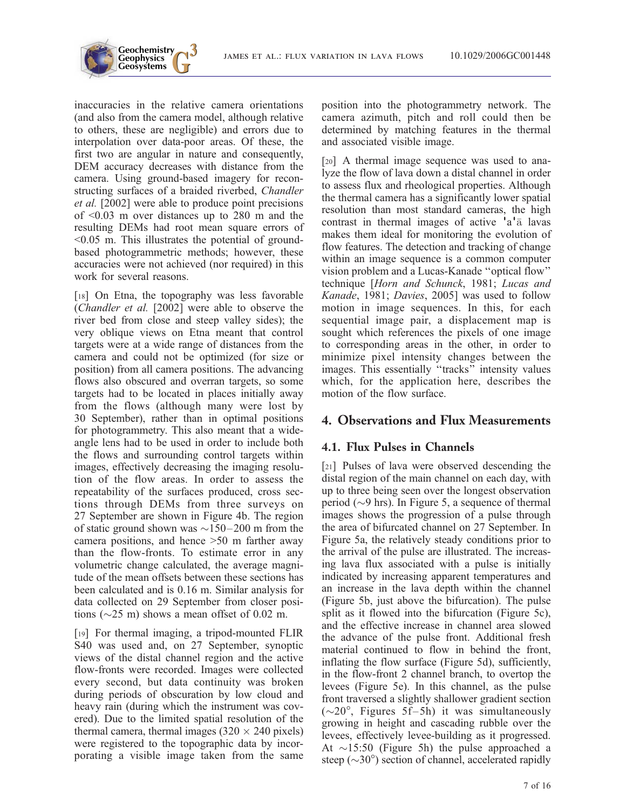

inaccuracies in the relative camera orientations (and also from the camera model, although relative to others, these are negligible) and errors due to interpolation over data-poor areas. Of these, the first two are angular in nature and consequently, DEM accuracy decreases with distance from the camera. Using ground-based imagery for reconstructing surfaces of a braided riverbed, Chandler et al. [2002] were able to produce point precisions of <0.03 m over distances up to 280 m and the resulting DEMs had root mean square errors of <0.05 m. This illustrates the potential of groundbased photogrammetric methods; however, these accuracies were not achieved (nor required) in this work for several reasons.

[18] On Etna, the topography was less favorable (Chandler et al. [2002] were able to observe the river bed from close and steep valley sides); the very oblique views on Etna meant that control targets were at a wide range of distances from the camera and could not be optimized (for size or position) from all camera positions. The advancing flows also obscured and overran targets, so some targets had to be located in places initially away from the flows (although many were lost by 30 September), rather than in optimal positions for photogrammetry. This also meant that a wideangle lens had to be used in order to include both the flows and surrounding control targets within images, effectively decreasing the imaging resolution of the flow areas. In order to assess the repeatability of the surfaces produced, cross sections through DEMs from three surveys on 27 September are shown in Figure 4b. The region of static ground shown was  $\sim$ 150–200 m from the camera positions, and hence >50 m farther away than the flow-fronts. To estimate error in any volumetric change calculated, the average magnitude of the mean offsets between these sections has been calculated and is 0.16 m. Similar analysis for data collected on 29 September from closer positions ( $\sim$ 25 m) shows a mean offset of 0.02 m.

[19] For thermal imaging, a tripod-mounted FLIR S40 was used and, on 27 September, synoptic views of the distal channel region and the active flow-fronts were recorded. Images were collected every second, but data continuity was broken during periods of obscuration by low cloud and heavy rain (during which the instrument was covered). Due to the limited spatial resolution of the thermal camera, thermal images ( $320 \times 240$  pixels) were registered to the topographic data by incorporating a visible image taken from the same

position into the photogrammetry network. The camera azimuth, pitch and roll could then be determined by matching features in the thermal and associated visible image.

[20] A thermal image sequence was used to analyze the flow of lava down a distal channel in order to assess flux and rheological properties. Although the thermal camera has a significantly lower spatial resolution than most standard cameras, the high contrast in thermal images of active 'a'a lavas makes them ideal for monitoring the evolution of flow features. The detection and tracking of change within an image sequence is a common computer vision problem and a Lucas-Kanade ''optical flow'' technique [Horn and Schunck, 1981; Lucas and Kanade, 1981; Davies, 2005] was used to follow motion in image sequences. In this, for each sequential image pair, a displacement map is sought which references the pixels of one image to corresponding areas in the other, in order to minimize pixel intensity changes between the images. This essentially "tracks" intensity values which, for the application here, describes the motion of the flow surface.

### 4. Observations and Flux Measurements

### 4.1. Flux Pulses in Channels

[21] Pulses of lava were observed descending the distal region of the main channel on each day, with up to three being seen over the longest observation period ( $\sim$ 9 hrs). In Figure 5, a sequence of thermal images shows the progression of a pulse through the area of bifurcated channel on 27 September. In Figure 5a, the relatively steady conditions prior to the arrival of the pulse are illustrated. The increasing lava flux associated with a pulse is initially indicated by increasing apparent temperatures and an increase in the lava depth within the channel (Figure 5b, just above the bifurcation). The pulse split as it flowed into the bifurcation (Figure 5c), and the effective increase in channel area slowed the advance of the pulse front. Additional fresh material continued to flow in behind the front, inflating the flow surface (Figure 5d), sufficiently, in the flow-front 2 channel branch, to overtop the levees (Figure 5e). In this channel, as the pulse front traversed a slightly shallower gradient section  $(\sim 20^{\circ}$ , Figures 5f-5h) it was simultaneously growing in height and cascading rubble over the levees, effectively levee-building as it progressed. At  $\sim$ 15:50 (Figure 5h) the pulse approached a steep ( $\sim$ 30 $^{\circ}$ ) section of channel, accelerated rapidly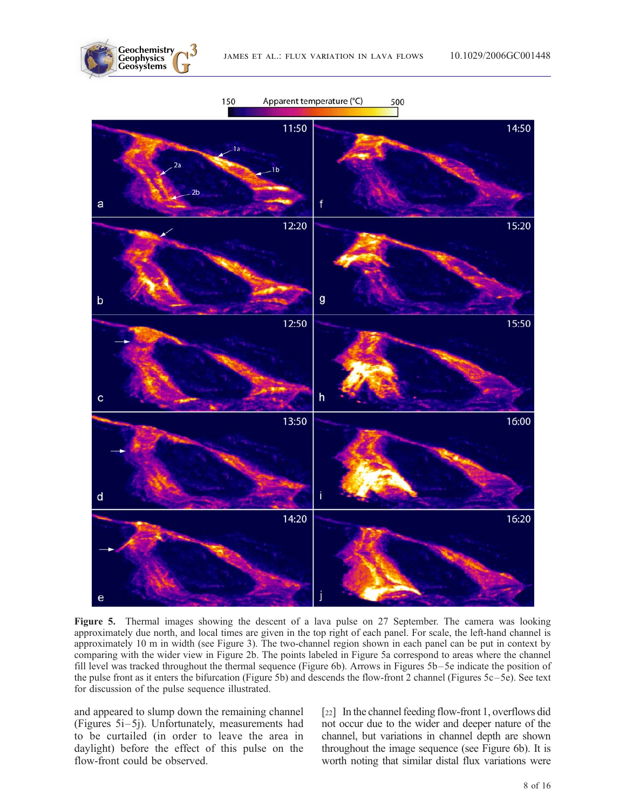**Geochemistry Geophysics**



Figure 5. Thermal images showing the descent of a lava pulse on 27 September. The camera was looking approximately due north, and local times are given in the top right of each panel. For scale, the left-hand channel is approximately 10 m in width (see Figure 3). The two-channel region shown in each panel can be put in context by comparing with the wider view in Figure 2b. The points labeled in Figure 5a correspond to areas where the channel fill level was tracked throughout the thermal sequence (Figure 6b). Arrows in Figures 5b– 5e indicate the position of the pulse front as it enters the bifurcation (Figure 5b) and descends the flow-front 2 channel (Figures 5c-5e). See text for discussion of the pulse sequence illustrated.

and appeared to slump down the remaining channel (Figures 5i–5j). Unfortunately, measurements had to be curtailed (in order to leave the area in daylight) before the effect of this pulse on the flow-front could be observed.

[22] In the channel feeding flow-front 1, overflows did not occur due to the wider and deeper nature of the channel, but variations in channel depth are shown throughout the image sequence (see Figure 6b). It is worth noting that similar distal flux variations were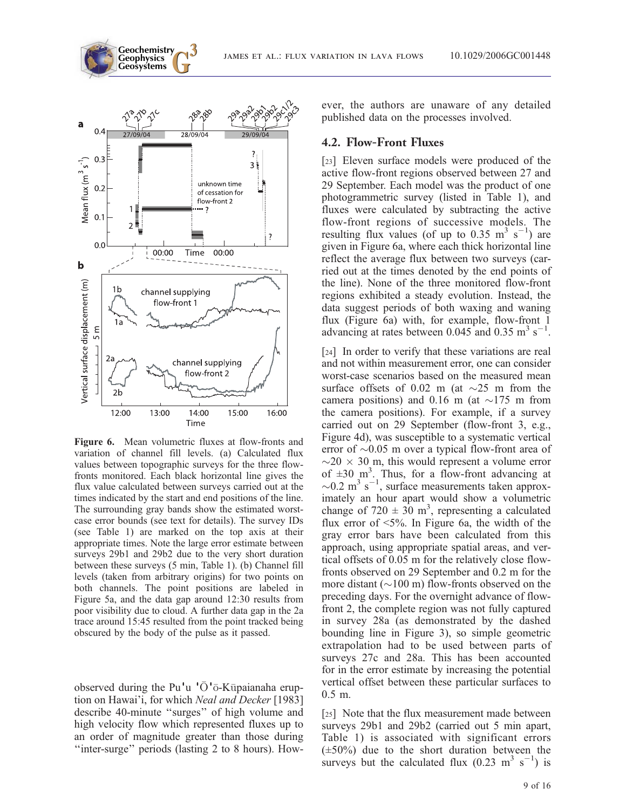

**Geochemistry Geophysics**

Figure 6. Mean volumetric fluxes at flow-fronts and variation of channel fill levels. (a) Calculated flux values between topographic surveys for the three flowfronts monitored. Each black horizontal line gives the flux value calculated between surveys carried out at the times indicated by the start and end positions of the line. The surrounding gray bands show the estimated worstcase error bounds (see text for details). The survey IDs (see Table 1) are marked on the top axis at their appropriate times. Note the large error estimate between surveys 29b1 and 29b2 due to the very short duration between these surveys (5 min, Table 1). (b) Channel fill levels (taken from arbitrary origins) for two points on both channels. The point positions are labeled in Figure 5a, and the data gap around 12:30 results from poor visibility due to cloud. A further data gap in the 2a trace around 15:45 resulted from the point tracked being obscured by the body of the pulse as it passed.

observed during the Pu'u  $\overline{O}$  ' $\overline{O}$ -Kupaianaha eruption on Hawai'i, for which Neal and Decker [1983] describe 40-minute ''surges'' of high volume and high velocity flow which represented fluxes up to an order of magnitude greater than those during ''inter-surge'' periods (lasting 2 to 8 hours). However, the authors are unaware of any detailed published data on the processes involved.

#### 4.2. Flow-Front Fluxes

[23] Eleven surface models were produced of the active flow-front regions observed between 27 and 29 September. Each model was the product of one photogrammetric survey (listed in Table 1), and fluxes were calculated by subtracting the active flow-front regions of successive models. The resulting flux values (of up to 0.35 m<sup>3</sup> s<sup>-1</sup>) are given in Figure 6a, where each thick horizontal line reflect the average flux between two surveys (carried out at the times denoted by the end points of the line). None of the three monitored flow-front regions exhibited a steady evolution. Instead, the data suggest periods of both waxing and waning flux (Figure 6a) with, for example, flow-front 1 advancing at rates between  $0.045$  and  $0.35 \text{ m}^3 \text{ s}^{-1}$ .

[24] In order to verify that these variations are real and not within measurement error, one can consider worst-case scenarios based on the measured mean surface offsets of 0.02 m (at  $\sim$ 25 m from the camera positions) and 0.16 m (at  $\sim$ 175 m from the camera positions). For example, if a survey carried out on 29 September (flow-front 3, e.g., Figure 4d), was susceptible to a systematic vertical error of  $\sim 0.05$  m over a typical flow-front area of  $\sim$ 20  $\times$  30 m, this would represent a volume error of  $\pm 30$  m<sup>3</sup>. Thus, for a flow-front advancing at  $\sim$ 0.2 m<sup>3</sup> s<sup>-1</sup>, surface measurements taken approximately an hour apart would show a volumetric change of 720  $\pm$  30 m<sup>3</sup>, representing a calculated flux error of <5%. In Figure 6a, the width of the gray error bars have been calculated from this approach, using appropriate spatial areas, and vertical offsets of 0.05 m for the relatively close flowfronts observed on 29 September and 0.2 m for the more distant  $(\sim 100 \text{ m})$  flow-fronts observed on the preceding days. For the overnight advance of flowfront 2, the complete region was not fully captured in survey 28a (as demonstrated by the dashed bounding line in Figure 3), so simple geometric extrapolation had to be used between parts of surveys 27c and 28a. This has been accounted for in the error estimate by increasing the potential vertical offset between these particular surfaces to 0.5 m.

[25] Note that the flux measurement made between surveys 29b1 and 29b2 (carried out 5 min apart, Table 1) is associated with significant errors  $(\pm 50\%)$  due to the short duration between the surveys but the calculated flux  $(0.23 \text{ m}^3 \text{ s}^{-1})$  is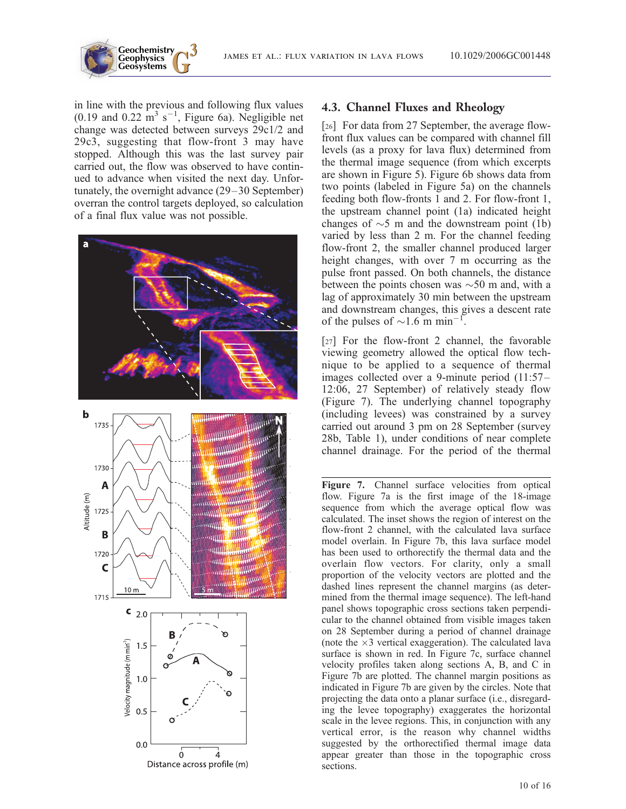

in line with the previous and following flux values  $(0.19$  and  $0.22 \text{ m}^3 \text{ s}^{-1}$ , Figure 6a). Negligible net change was detected between surveys 29c1/2 and 29c3, suggesting that flow-front 3 may have stopped. Although this was the last survey pair carried out, the flow was observed to have continued to advance when visited the next day. Unfortunately, the overnight advance (29–30 September) overran the control targets deployed, so calculation of a final flux value was not possible.



### 4.3. Channel Fluxes and Rheology

[26] For data from 27 September, the average flowfront flux values can be compared with channel fill levels (as a proxy for lava flux) determined from the thermal image sequence (from which excerpts are shown in Figure 5). Figure 6b shows data from two points (labeled in Figure 5a) on the channels feeding both flow-fronts 1 and 2. For flow-front 1, the upstream channel point (1a) indicated height changes of  $\sim$ 5 m and the downstream point (1b) varied by less than 2 m. For the channel feeding flow-front 2, the smaller channel produced larger height changes, with over 7 m occurring as the pulse front passed. On both channels, the distance between the points chosen was  $\sim$ 50 m and, with a lag of approximately 30 min between the upstream and downstream changes, this gives a descent rate of the pulses of  $\sim$ 1.6 m min<sup>-1</sup>.

[27] For the flow-front 2 channel, the favorable viewing geometry allowed the optical flow technique to be applied to a sequence of thermal images collected over a 9-minute period (11:57– 12:06, 27 September) of relatively steady flow (Figure 7). The underlying channel topography (including levees) was constrained by a survey carried out around 3 pm on 28 September (survey 28b, Table 1), under conditions of near complete channel drainage. For the period of the thermal

Figure 7. Channel surface velocities from optical flow. Figure 7a is the first image of the 18-image sequence from which the average optical flow was calculated. The inset shows the region of interest on the flow-front 2 channel, with the calculated lava surface model overlain. In Figure 7b, this lava surface model has been used to orthorectify the thermal data and the overlain flow vectors. For clarity, only a small proportion of the velocity vectors are plotted and the dashed lines represent the channel margins (as determined from the thermal image sequence). The left-hand panel shows topographic cross sections taken perpendicular to the channel obtained from visible images taken on 28 September during a period of channel drainage (note the  $\times 3$  vertical exaggeration). The calculated lava surface is shown in red. In Figure 7c, surface channel velocity profiles taken along sections A, B, and C in Figure 7b are plotted. The channel margin positions as indicated in Figure 7b are given by the circles. Note that projecting the data onto a planar surface (i.e., disregarding the levee topography) exaggerates the horizontal scale in the levee regions. This, in conjunction with any vertical error, is the reason why channel widths suggested by the orthorectified thermal image data appear greater than those in the topographic cross sections.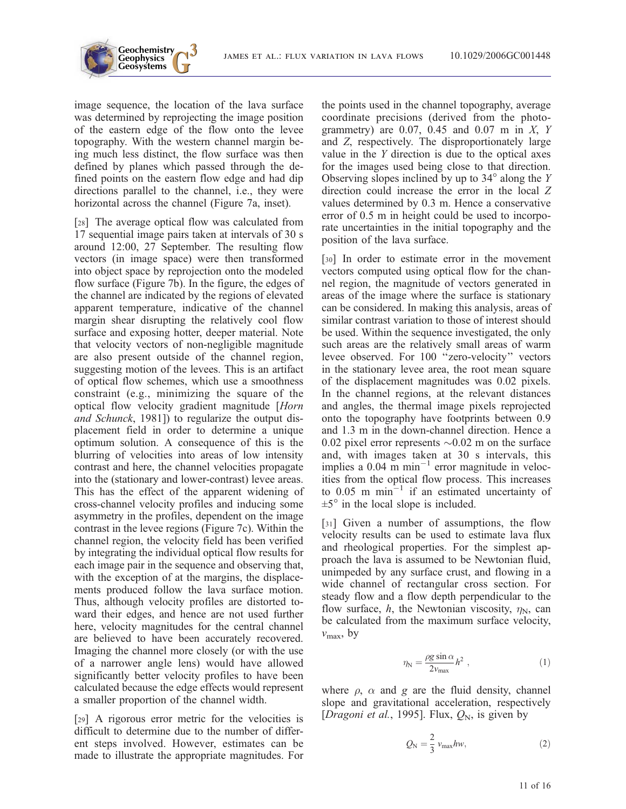

image sequence, the location of the lava surface was determined by reprojecting the image position of the eastern edge of the flow onto the levee topography. With the western channel margin being much less distinct, the flow surface was then defined by planes which passed through the defined points on the eastern flow edge and had dip directions parallel to the channel, i.e., they were horizontal across the channel (Figure 7a, inset).

[28] The average optical flow was calculated from 17 sequential image pairs taken at intervals of 30 s around 12:00, 27 September. The resulting flow vectors (in image space) were then transformed into object space by reprojection onto the modeled flow surface (Figure 7b). In the figure, the edges of the channel are indicated by the regions of elevated apparent temperature, indicative of the channel margin shear disrupting the relatively cool flow surface and exposing hotter, deeper material. Note that velocity vectors of non-negligible magnitude are also present outside of the channel region, suggesting motion of the levees. This is an artifact of optical flow schemes, which use a smoothness constraint (e.g., minimizing the square of the optical flow velocity gradient magnitude [Horn and Schunck, 1981]) to regularize the output displacement field in order to determine a unique optimum solution. A consequence of this is the blurring of velocities into areas of low intensity contrast and here, the channel velocities propagate into the (stationary and lower-contrast) levee areas. This has the effect of the apparent widening of cross-channel velocity profiles and inducing some asymmetry in the profiles, dependent on the image contrast in the levee regions (Figure 7c). Within the channel region, the velocity field has been verified by integrating the individual optical flow results for each image pair in the sequence and observing that, with the exception of at the margins, the displacements produced follow the lava surface motion. Thus, although velocity profiles are distorted toward their edges, and hence are not used further here, velocity magnitudes for the central channel are believed to have been accurately recovered. Imaging the channel more closely (or with the use of a narrower angle lens) would have allowed significantly better velocity profiles to have been calculated because the edge effects would represent a smaller proportion of the channel width.

[29] A rigorous error metric for the velocities is difficult to determine due to the number of different steps involved. However, estimates can be made to illustrate the appropriate magnitudes. For the points used in the channel topography, average coordinate precisions (derived from the photogrammetry) are  $0.07$ ,  $0.45$  and  $0.07$  m in  $X$ , Y and Z, respectively. The disproportionately large value in the Y direction is due to the optical axes for the images used being close to that direction. Observing slopes inclined by up to  $34^\circ$  along the Y direction could increase the error in the local Z values determined by 0.3 m. Hence a conservative error of 0.5 m in height could be used to incorporate uncertainties in the initial topography and the position of the lava surface.

[30] In order to estimate error in the movement vectors computed using optical flow for the channel region, the magnitude of vectors generated in areas of the image where the surface is stationary can be considered. In making this analysis, areas of similar contrast variation to those of interest should be used. Within the sequence investigated, the only such areas are the relatively small areas of warm levee observed. For 100 ''zero-velocity'' vectors in the stationary levee area, the root mean square of the displacement magnitudes was 0.02 pixels. In the channel regions, at the relevant distances and angles, the thermal image pixels reprojected onto the topography have footprints between 0.9 and 1.3 m in the down-channel direction. Hence a 0.02 pixel error represents  $\sim$ 0.02 m on the surface and, with images taken at 30 s intervals, this implies a  $0.04 \text{ m min}^{-1}$  error magnitude in velocities from the optical flow process. This increases to  $0.05$  m min<sup>-1</sup> if an estimated uncertainty of  $\pm 5^{\circ}$  in the local slope is included.

[31] Given a number of assumptions, the flow velocity results can be used to estimate lava flux and rheological properties. For the simplest approach the lava is assumed to be Newtonian fluid, unimpeded by any surface crust, and flowing in a wide channel of rectangular cross section. For steady flow and a flow depth perpendicular to the flow surface, h, the Newtonian viscosity,  $\eta_N$ , can be calculated from the maximum surface velocity,  $v_{\text{max}}$ , by

$$
\eta_{\rm N} = \frac{\rho g \sin \alpha}{2v_{\rm max}} h^2 \;, \tag{1}
$$

where  $\rho$ ,  $\alpha$  and g are the fluid density, channel slope and gravitational acceleration, respectively [*Dragoni et al.*, 1995]. Flux,  $Q_N$ , is given by

$$
Q_{\rm N} = \frac{2}{3} v_{\rm max} h w, \qquad (2)
$$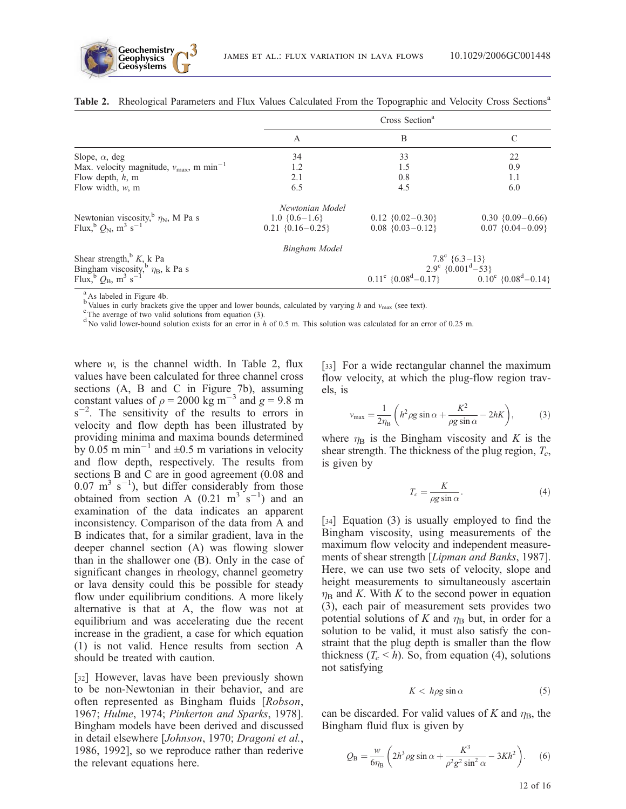

| Cross Section <sup>a</sup>                                                                                         |                        |                                                                                                             |  |
|--------------------------------------------------------------------------------------------------------------------|------------------------|-------------------------------------------------------------------------------------------------------------|--|
| A                                                                                                                  | B                      | C                                                                                                           |  |
| 34                                                                                                                 | 33                     | 22                                                                                                          |  |
| 1.2                                                                                                                | 1.5                    | 0.9                                                                                                         |  |
| 2.1                                                                                                                | 0.8                    | 1.1                                                                                                         |  |
| 6.5                                                                                                                | 4.5                    | 6.0                                                                                                         |  |
| Newtonian Model                                                                                                    |                        |                                                                                                             |  |
| $1.0 \{0.6 - 1.6\}$                                                                                                | $0.12 \{0.02 - 0.30\}$ | $0.30 \{0.09 - 0.66\}$                                                                                      |  |
| $0.21 \{0.16 - 0.25\}$                                                                                             | $0.08 \{0.03 - 0.12\}$ | $0.07 \{0.04 - 0.09\}$                                                                                      |  |
| Bingham Model                                                                                                      |                        |                                                                                                             |  |
| Shear strength, $K$ , k Pa<br>Bingham viscosity, $\eta_B$ , k Pa s<br>Flux, $Q_B$ , m <sup>3</sup> s <sup>-1</sup> |                        |                                                                                                             |  |
| $2.9^{\circ} \{0.001^{\circ} - 53\}$                                                                               |                        |                                                                                                             |  |
|                                                                                                                    |                        |                                                                                                             |  |
|                                                                                                                    |                        | $7.8^{\circ}$ {6.3-13}<br>$0.11^{\circ}$ {0.08 <sup>d</sup> -0.17} $0.10^{\circ}$ {0.08 <sup>d</sup> -0.14} |  |

Table 2. Rheological Parameters and Flux Values Calculated From the Topographic and Velocity Cross Sections<sup>a</sup>

<sup>a</sup> As labeled in Figure 4b.

bValues in curly brackets give the upper and lower bounds, calculated by varying h and  $v_{\text{max}}$  (see text).

 $\text{c}^{\text{c}}$  The average of two valid solutions from equation (3).

<sup>d</sup>No valid lower-bound solution exists for an error in h of 0.5 m. This solution was calculated for an error of 0.25 m.

where  $w$ , is the channel width. In Table 2, flux values have been calculated for three channel cross sections (A, B and C in Figure 7b), assuming constant values of  $\rho = 2000 \text{ kg m}^{-3}$  and  $g = 9.8 \text{ m}$  $s^{-2}$ . The sensitivity of the results to errors in velocity and flow depth has been illustrated by providing minima and maxima bounds determined by 0.05 m min<sup>-1</sup> and  $\pm$ 0.5 m variations in velocity and flow depth, respectively. The results from sections B and C are in good agreement (0.08 and  $0.07 \text{ m}^3 \text{ s}^{-1}$ ), but differ considerably from those obtained from section A  $(0.21 \text{ m}^3 \text{ s}^{-1})$  and an examination of the data indicates an apparent inconsistency. Comparison of the data from A and B indicates that, for a similar gradient, lava in the deeper channel section (A) was flowing slower than in the shallower one (B). Only in the case of significant changes in rheology, channel geometry or lava density could this be possible for steady flow under equilibrium conditions. A more likely alternative is that at A, the flow was not at equilibrium and was accelerating due the recent increase in the gradient, a case for which equation (1) is not valid. Hence results from section A should be treated with caution.

[32] However, lavas have been previously shown to be non-Newtonian in their behavior, and are often represented as Bingham fluids [Robson, 1967; Hulme, 1974; Pinkerton and Sparks, 1978]. Bingham models have been derived and discussed in detail elsewhere [Johnson, 1970; Dragoni et al., 1986, 1992], so we reproduce rather than rederive the relevant equations here.

[33] For a wide rectangular channel the maximum flow velocity, at which the plug-flow region travels, is

$$
v_{\text{max}} = \frac{1}{2\eta_{\text{B}}} \left( h^2 \rho g \sin \alpha + \frac{K^2}{\rho g \sin \alpha} - 2hK \right), \tag{3}
$$

where  $\eta_B$  is the Bingham viscosity and K is the shear strength. The thickness of the plug region,  $T_c$ , is given by

$$
T_c = \frac{K}{\rho g \sin \alpha}.
$$
 (4)

[34] Equation (3) is usually employed to find the Bingham viscosity, using measurements of the maximum flow velocity and independent measurements of shear strength [Lipman and Banks, 1987]. Here, we can use two sets of velocity, slope and height measurements to simultaneously ascertain  $\eta_B$  and K. With K to the second power in equation (3), each pair of measurement sets provides two potential solutions of K and  $\eta_B$  but, in order for a solution to be valid, it must also satisfy the constraint that the plug depth is smaller than the flow thickness  $(T_c \leq h)$ . So, from equation (4), solutions not satisfying

$$
K < h\rho g \sin \alpha \tag{5}
$$

can be discarded. For valid values of K and  $\eta_B$ , the Bingham fluid flux is given by

$$
Q_{\rm B} = \frac{w}{6\eta_{\rm B}} \left( 2h^3 \rho g \sin \alpha + \frac{K^3}{\rho^2 g^2 \sin^2 \alpha} - 3Kh^2 \right). \tag{6}
$$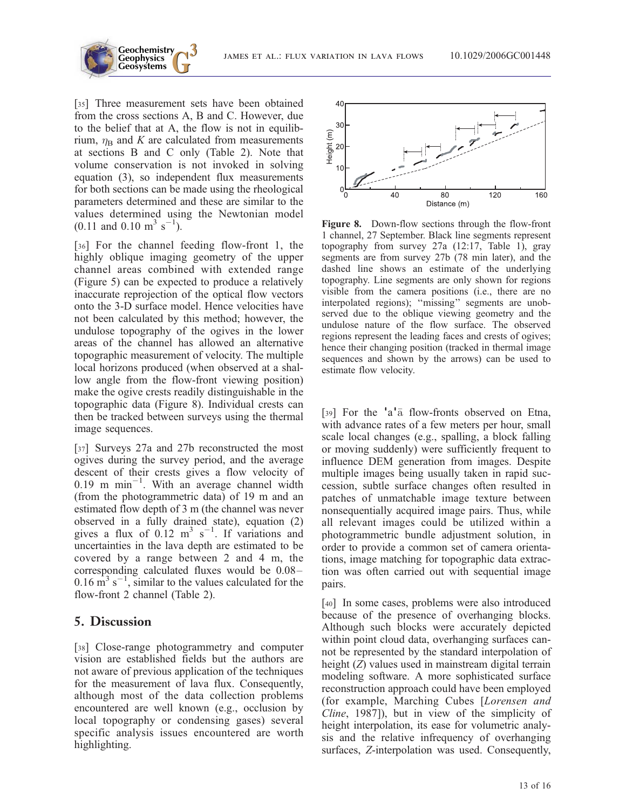

[35] Three measurement sets have been obtained from the cross sections A, B and C. However, due to the belief that at A, the flow is not in equilibrium,  $\eta_B$  and K are calculated from measurements at sections B and C only (Table 2). Note that volume conservation is not invoked in solving equation (3), so independent flux measurements for both sections can be made using the rheological parameters determined and these are similar to the values determined using the Newtonian model  $(0.11 \text{ and } 0.10 \text{ m}^3 \text{ s}^{-1}).$ 

[36] For the channel feeding flow-front 1, the highly oblique imaging geometry of the upper channel areas combined with extended range (Figure 5) can be expected to produce a relatively inaccurate reprojection of the optical flow vectors onto the 3-D surface model. Hence velocities have not been calculated by this method; however, the undulose topography of the ogives in the lower areas of the channel has allowed an alternative topographic measurement of velocity. The multiple local horizons produced (when observed at a shallow angle from the flow-front viewing position) make the ogive crests readily distinguishable in the topographic data (Figure 8). Individual crests can then be tracked between surveys using the thermal image sequences.

[37] Surveys 27a and 27b reconstructed the most ogives during the survey period, and the average descent of their crests gives a flow velocity of  $0.19$  m min<sup>-1</sup>. With an average channel width (from the photogrammetric data) of 19 m and an estimated flow depth of 3 m (the channel was never observed in a fully drained state), equation (2) gives a flux of  $0.12 \text{ m}^3 \text{ s}^{-1}$ . If variations and uncertainties in the lava depth are estimated to be covered by a range between 2 and 4 m, the corresponding calculated fluxes would be 0.08–  $0.16 \text{ m}^3 \text{ s}^{-1}$ , similar to the values calculated for the flow-front 2 channel (Table 2).

### 5. Discussion

[38] Close-range photogrammetry and computer vision are established fields but the authors are not aware of previous application of the techniques for the measurement of lava flux. Consequently, although most of the data collection problems encountered are well known (e.g., occlusion by local topography or condensing gases) several specific analysis issues encountered are worth highlighting.



Figure 8. Down-flow sections through the flow-front 1 channel, 27 September. Black line segments represent topography from survey 27a (12:17, Table 1), gray segments are from survey 27b (78 min later), and the dashed line shows an estimate of the underlying topography. Line segments are only shown for regions visible from the camera positions (i.e., there are no interpolated regions); ''missing'' segments are unobserved due to the oblique viewing geometry and the undulose nature of the flow surface. The observed regions represent the leading faces and crests of ogives; hence their changing position (tracked in thermal image sequences and shown by the arrows) can be used to estimate flow velocity.

[39] For the  $'a'$ a flow-fronts observed on Etna, with advance rates of a few meters per hour, small scale local changes (e.g., spalling, a block falling or moving suddenly) were sufficiently frequent to influence DEM generation from images. Despite multiple images being usually taken in rapid succession, subtle surface changes often resulted in patches of unmatchable image texture between nonsequentially acquired image pairs. Thus, while all relevant images could be utilized within a photogrammetric bundle adjustment solution, in order to provide a common set of camera orientations, image matching for topographic data extraction was often carried out with sequential image pairs.

[40] In some cases, problems were also introduced because of the presence of overhanging blocks. Although such blocks were accurately depicted within point cloud data, overhanging surfaces cannot be represented by the standard interpolation of height (*Z*) values used in mainstream digital terrain modeling software. A more sophisticated surface reconstruction approach could have been employed (for example, Marching Cubes [Lorensen and Cline, 1987]), but in view of the simplicity of height interpolation, its ease for volumetric analysis and the relative infrequency of overhanging surfaces, Z-interpolation was used. Consequently,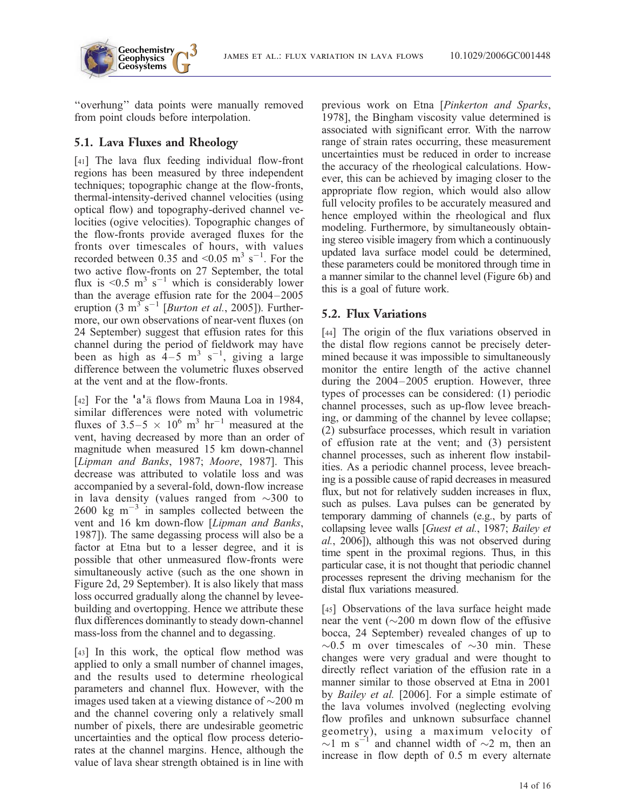JAMES ET AL.: FLUX VARIATION IN LAVA FLOWS 10.1029/2006GC001448



''overhung'' data points were manually removed from point clouds before interpolation.

# 5.1. Lava Fluxes and Rheology

[41] The lava flux feeding individual flow-front regions has been measured by three independent techniques; topographic change at the flow-fronts, thermal-intensity-derived channel velocities (using optical flow) and topography-derived channel velocities (ogive velocities). Topographic changes of the flow-fronts provide averaged fluxes for the fronts over timescales of hours, with values recorded between 0.35 and  $\leq 0.05$  m<sup>3</sup> s<sup>-1</sup>. For the two active flow-fronts on 27 September, the total flux is <0.5  $\text{m}^3$  s<sup>-1</sup> which is considerably lower than the average effusion rate for the 2004–2005 eruption  $(3 \text{ m}^3 \text{ s}^{-1}$  [*Burton et al.*, 2005]). Furthermore, our own observations of near-vent fluxes (on 24 September) suggest that effusion rates for this channel during the period of fieldwork may have been as high as  $4-5$  m<sup>3</sup> s<sup>-1</sup>, giving a large difference between the volumetric fluxes observed at the vent and at the flow-fronts.

[42] For the 'a'a flows from Mauna Loa in 1984, similar differences were noted with volumetric fluxes of 3.5–5  $\times$  10<sup>6</sup> m<sup>3</sup> hr<sup>-1</sup> measured at the vent, having decreased by more than an order of magnitude when measured 15 km down-channel [Lipman and Banks, 1987; Moore, 1987]. This decrease was attributed to volatile loss and was accompanied by a several-fold, down-flow increase in lava density (values ranged from  $\sim$ 300 to 2600 kg  $m^{-3}$  in samples collected between the vent and 16 km down-flow [Lipman and Banks, 1987]). The same degassing process will also be a factor at Etna but to a lesser degree, and it is possible that other unmeasured flow-fronts were simultaneously active (such as the one shown in Figure 2d, 29 September). It is also likely that mass loss occurred gradually along the channel by leveebuilding and overtopping. Hence we attribute these flux differences dominantly to steady down-channel mass-loss from the channel and to degassing.

[43] In this work, the optical flow method was applied to only a small number of channel images, and the results used to determine rheological parameters and channel flux. However, with the images used taken at a viewing distance of  $\sim$ 200 m and the channel covering only a relatively small number of pixels, there are undesirable geometric uncertainties and the optical flow process deteriorates at the channel margins. Hence, although the value of lava shear strength obtained is in line with previous work on Etna [Pinkerton and Sparks, 1978], the Bingham viscosity value determined is associated with significant error. With the narrow range of strain rates occurring, these measurement uncertainties must be reduced in order to increase the accuracy of the rheological calculations. However, this can be achieved by imaging closer to the appropriate flow region, which would also allow full velocity profiles to be accurately measured and hence employed within the rheological and flux modeling. Furthermore, by simultaneously obtaining stereo visible imagery from which a continuously updated lava surface model could be determined, these parameters could be monitored through time in a manner similar to the channel level (Figure 6b) and this is a goal of future work.

# 5.2. Flux Variations

[44] The origin of the flux variations observed in the distal flow regions cannot be precisely determined because it was impossible to simultaneously monitor the entire length of the active channel during the 2004–2005 eruption. However, three types of processes can be considered: (1) periodic channel processes, such as up-flow levee breaching, or damming of the channel by levee collapse; (2) subsurface processes, which result in variation of effusion rate at the vent; and (3) persistent channel processes, such as inherent flow instabilities. As a periodic channel process, levee breaching is a possible cause of rapid decreases in measured flux, but not for relatively sudden increases in flux, such as pulses. Lava pulses can be generated by temporary damming of channels (e.g., by parts of collapsing levee walls [Guest et al., 1987; Bailey et al., 2006]), although this was not observed during time spent in the proximal regions. Thus, in this particular case, it is not thought that periodic channel processes represent the driving mechanism for the distal flux variations measured.

[45] Observations of the lava surface height made near the vent  $(\sim 200 \text{ m}$  down flow of the effusive bocca, 24 September) revealed changes of up to  $\sim$ 0.5 m over timescales of  $\sim$ 30 min. These changes were very gradual and were thought to directly reflect variation of the effusion rate in a manner similar to those observed at Etna in 2001 by Bailey et al. [2006]. For a simple estimate of the lava volumes involved (neglecting evolving flow profiles and unknown subsurface channel geometry), using a maximum velocity of  $\sim$ 1 m s<sup>-1</sup> and channel width of  $\sim$ 2 m, then an increase in flow depth of 0.5 m every alternate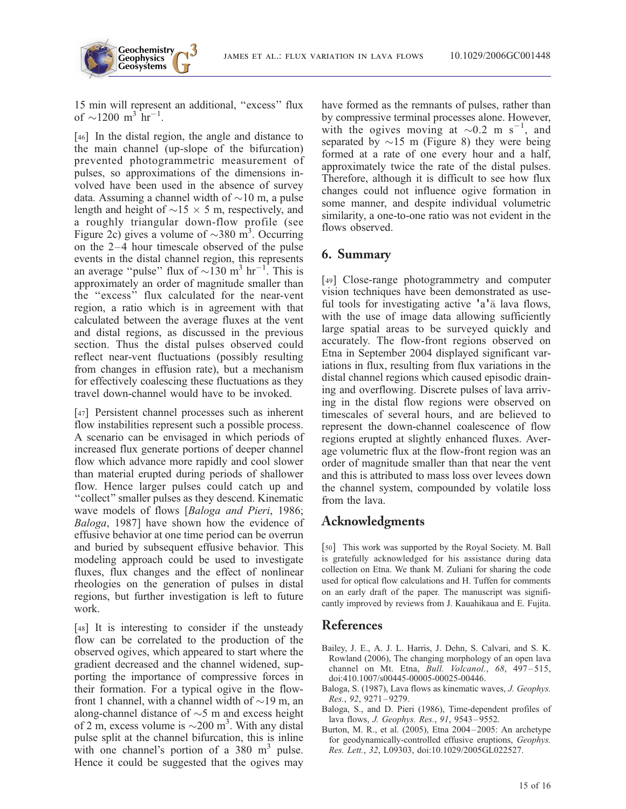JAMES ET AL.: FLUX VARIATION IN LAVA FLOWS 10.1029/2006GC001448

15 min will represent an additional, ''excess'' flux of  $\sim$ 1200 m<sup>3</sup> hr<sup>-1</sup>.

**Geochemistry Geophysics**

[46] In the distal region, the angle and distance to the main channel (up-slope of the bifurcation) prevented photogrammetric measurement of pulses, so approximations of the dimensions involved have been used in the absence of survey data. Assuming a channel width of  $\sim$ 10 m, a pulse length and height of  $\sim$ 15  $\times$  5 m, respectively, and a roughly triangular down-flow profile (see Figure 2c) gives a volume of  $\sim$ 380 m<sup>3</sup>. Occurring on the 2–4 hour timescale observed of the pulse events in the distal channel region, this represents an average "pulse" flux of  $\sim$ 130 m<sup>3</sup> hr<sup>-1</sup>. This is approximately an order of magnitude smaller than the ''excess'' flux calculated for the near-vent region, a ratio which is in agreement with that calculated between the average fluxes at the vent and distal regions, as discussed in the previous section. Thus the distal pulses observed could reflect near-vent fluctuations (possibly resulting from changes in effusion rate), but a mechanism for effectively coalescing these fluctuations as they travel down-channel would have to be invoked.

[47] Persistent channel processes such as inherent flow instabilities represent such a possible process. A scenario can be envisaged in which periods of increased flux generate portions of deeper channel flow which advance more rapidly and cool slower than material erupted during periods of shallower flow. Hence larger pulses could catch up and ''collect'' smaller pulses as they descend. Kinematic wave models of flows [Baloga and Pieri, 1986; Baloga, 1987] have shown how the evidence of effusive behavior at one time period can be overrun and buried by subsequent effusive behavior. This modeling approach could be used to investigate fluxes, flux changes and the effect of nonlinear rheologies on the generation of pulses in distal regions, but further investigation is left to future work.

[48] It is interesting to consider if the unsteady flow can be correlated to the production of the observed ogives, which appeared to start where the gradient decreased and the channel widened, supporting the importance of compressive forces in their formation. For a typical ogive in the flowfront 1 channel, with a channel width of  $\sim$ 19 m, an along-channel distance of  $\sim$ 5 m and excess height of 2 m, excess volume is  $\sim$  200 m<sup>3</sup>. With any distal pulse split at the channel bifurcation, this is inline with one channel's portion of a  $380 \text{ m}^3$  pulse. Hence it could be suggested that the ogives may have formed as the remnants of pulses, rather than by compressive terminal processes alone. However, with the ogives moving at  $\sim 0.2$  m s<sup>-1</sup>, and separated by  $\sim$ 15 m (Figure 8) they were being formed at a rate of one every hour and a half, approximately twice the rate of the distal pulses. Therefore, although it is difficult to see how flux changes could not influence ogive formation in some manner, and despite individual volumetric similarity, a one-to-one ratio was not evident in the flows observed.

### 6. Summary

[49] Close-range photogrammetry and computer vision techniques have been demonstrated as useful tools for investigating active  $'a'$ a lava flows, with the use of image data allowing sufficiently large spatial areas to be surveyed quickly and accurately. The flow-front regions observed on Etna in September 2004 displayed significant variations in flux, resulting from flux variations in the distal channel regions which caused episodic draining and overflowing. Discrete pulses of lava arriving in the distal flow regions were observed on timescales of several hours, and are believed to represent the down-channel coalescence of flow regions erupted at slightly enhanced fluxes. Average volumetric flux at the flow-front region was an order of magnitude smaller than that near the vent and this is attributed to mass loss over levees down the channel system, compounded by volatile loss from the lava.

# Acknowledgments

[50] This work was supported by the Royal Society. M. Ball is gratefully acknowledged for his assistance during data collection on Etna. We thank M. Zuliani for sharing the code used for optical flow calculations and H. Tuffen for comments on an early draft of the paper. The manuscript was significantly improved by reviews from J. Kauahikaua and E. Fujita.

# References

- Bailey, J. E., A. J. L. Harris, J. Dehn, S. Calvari, and S. K. Rowland (2006), The changing morphology of an open lava channel on Mt. Etna, Bull. Volcanol., 68, 497-515, doi:410.1007/s00445-00005-00025-00446.
- Baloga, S. (1987), Lava flows as kinematic waves, J. Geophys. Res., 92, 9271 – 9279.
- Baloga, S., and D. Pieri (1986), Time-dependent profiles of lava flows, J. Geophys. Res., 91, 9543 – 9552.
- Burton, M. R., et al. (2005), Etna 2004 2005: An archetype for geodynamically-controlled effusive eruptions, Geophys. Res. Lett., 32, L09303, doi:10.1029/2005GL022527.